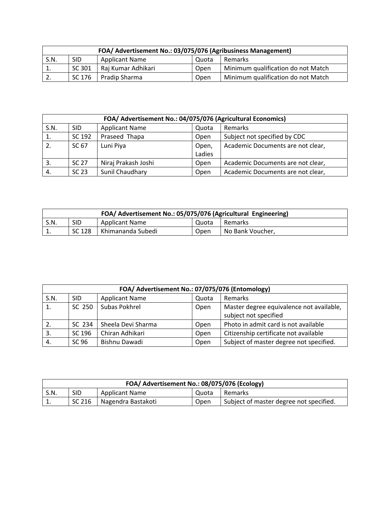| FOA/ Advertisement No.: 03/075/076 (Agribusiness Management)    |        |                    |      |                                    |  |
|-----------------------------------------------------------------|--------|--------------------|------|------------------------------------|--|
| S.N.<br><b>SID</b><br><b>Applicant Name</b><br>Remarks<br>Quota |        |                    |      |                                    |  |
| <b>.</b>                                                        | SC 301 | Raj Kumar Adhikari | Open | Minimum qualification do not Match |  |
| ٠.                                                              | SC 176 | Pradip Sharma      | Open | Minimum qualification do not Match |  |

| FOA/ Advertisement No.: 04/075/076 (Agricultural Economics) |            |                       |        |                                   |  |
|-------------------------------------------------------------|------------|-----------------------|--------|-----------------------------------|--|
| S.N.                                                        | <b>SID</b> | <b>Applicant Name</b> | Quota  | Remarks                           |  |
|                                                             | SC 192     | Praseed Thapa         | Open   | Subject not specified by CDC      |  |
| 2.                                                          | SC 67      | Luni Piya             | Open,  | Academic Documents are not clear, |  |
|                                                             |            |                       | Ladies |                                   |  |
| 3.                                                          | SC 27      | Niraj Prakash Joshi   | Open   | Academic Documents are not clear, |  |
| 4.                                                          | SC 23      | Sunil Chaudhary       | Open   | Academic Documents are not clear, |  |

| FOA/ Advertisement No.: 05/075/076 (Agricultural Engineering) |        |                       |       |                  |  |
|---------------------------------------------------------------|--------|-----------------------|-------|------------------|--|
| S.N.                                                          | SID    | <b>Applicant Name</b> | Quota | Remarks          |  |
| <b>.</b>                                                      | SC 128 | Khimananda Subedi     | Open  | No Bank Voucher, |  |

| FOA/ Advertisement No.: 07/075/076 (Entomology) |            |                       |             |                                          |  |  |
|-------------------------------------------------|------------|-----------------------|-------------|------------------------------------------|--|--|
| S.N.                                            | <b>SID</b> | <b>Applicant Name</b> | Quota       | Remarks                                  |  |  |
| 1.                                              | SC 250     | Subas Pokhrel         | Open        | Master degree equivalence not available, |  |  |
|                                                 |            |                       |             | subject not specified                    |  |  |
| 2.                                              | SC 234     | Sheela Devi Sharma    | <b>Open</b> | Photo in admit card is not available     |  |  |
| 3.                                              | SC 196     | Chiran Adhikari       | Open        | Citizenship certificate not available    |  |  |
| 4.                                              | SC 96      | Bishnu Dawadi         | Open        | Subject of master degree not specified.  |  |  |

| FOA/ Advertisement No.: 08/075/076 (Ecology) |            |                       |       |                                         |  |
|----------------------------------------------|------------|-----------------------|-------|-----------------------------------------|--|
| S.N.                                         | <b>SID</b> | <b>Applicant Name</b> | Quota | Remarks                                 |  |
| <b>.</b>                                     | SC 216     | Nagendra Bastakoti    | Open  | Subject of master degree not specified. |  |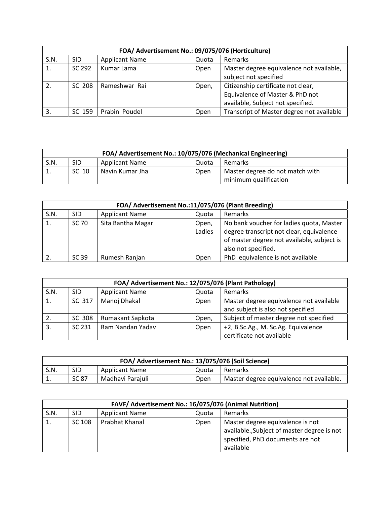|      | FOA/ Advertisement No.: 09/075/076 (Horticulture) |                       |       |                                                                                                            |  |  |
|------|---------------------------------------------------|-----------------------|-------|------------------------------------------------------------------------------------------------------------|--|--|
| S.N. | <b>SID</b>                                        | <b>Applicant Name</b> | Quota | Remarks                                                                                                    |  |  |
|      | SC 292                                            | Kumar Lama            | Open  | Master degree equivalence not available,<br>subject not specified                                          |  |  |
|      | SC 208                                            | Rameshwar Rai         | Open, | Citizenship certificate not clear,<br>Equivalence of Master & PhD not<br>available, Subject not specified. |  |  |
| 3.   | SC 159                                            | Prabin Poudel         | Open  | Transcript of Master degree not available                                                                  |  |  |

| FOA/ Advertisement No.: 10/075/076 (Mechanical Engineering) |            |                       |       |                                 |  |
|-------------------------------------------------------------|------------|-----------------------|-------|---------------------------------|--|
| S.N.                                                        | <b>SID</b> | <b>Applicant Name</b> | Quota | Remarks                         |  |
| $\overline{1}$ .                                            | SC 10      | Navin Kumar Jha       | Open  | Master degree do not match with |  |
|                                                             |            |                       |       | minimum qualification           |  |

| FOA/ Advertisement No.:11/075/076 (Plant Breeding) |            |                       |                 |                                                                                                                                                           |  |
|----------------------------------------------------|------------|-----------------------|-----------------|-----------------------------------------------------------------------------------------------------------------------------------------------------------|--|
| S.N.                                               | <b>SID</b> | <b>Applicant Name</b> | Quota           | Remarks                                                                                                                                                   |  |
|                                                    | SC 70      | Sita Bantha Magar     | Open,<br>Ladies | No bank voucher for ladies quota, Master<br>degree transcript not clear, equivalence<br>of master degree not available, subject is<br>also not specified. |  |
|                                                    | SC 39      | Rumesh Ranjan         | Open            | PhD equivalence is not available                                                                                                                          |  |

| FOA/ Advertisement No.: 12/075/076 (Plant Pathology) |            |                       |       |                                         |  |
|------------------------------------------------------|------------|-----------------------|-------|-----------------------------------------|--|
| S.N.                                                 | <b>SID</b> | <b>Applicant Name</b> | Quota | Remarks                                 |  |
|                                                      | SC 317     | Manoj Dhakal          | Open  | Master degree equivalence not available |  |
|                                                      |            |                       |       | and subject is also not specified       |  |
|                                                      | SC 308     | Rumakant Sapkota      | Open, | Subject of master degree not specified  |  |
| 3.                                                   | SC 231     | Ram Nandan Yadav      | Open  | +2, B.Sc.Ag., M. Sc.Ag. Equivalence     |  |
|                                                      |            |                       |       | certificate not available               |  |

| FOA/ Advertisement No.: 13/075/076 (Soil Science) |       |                       |       |                                          |  |
|---------------------------------------------------|-------|-----------------------|-------|------------------------------------------|--|
| S.N.                                              | SID   | <b>Applicant Name</b> | Quota | Remarks                                  |  |
| T.                                                | SC 87 | Madhavi Parajuli      | Open  | Master degree equivalence not available. |  |

|      | FAVF/ Advertisement No.: 16/075/076 (Animal Nutrition) |                       |       |                                                                                                                                  |  |
|------|--------------------------------------------------------|-----------------------|-------|----------------------------------------------------------------------------------------------------------------------------------|--|
| S.N. | <b>SID</b>                                             | <b>Applicant Name</b> | Quota | <b>Remarks</b>                                                                                                                   |  |
|      | SC 108                                                 | Prabhat Khanal        | Open  | Master degree equivalence is not<br>available., Subject of master degree is not<br>specified, PhD documents are not<br>available |  |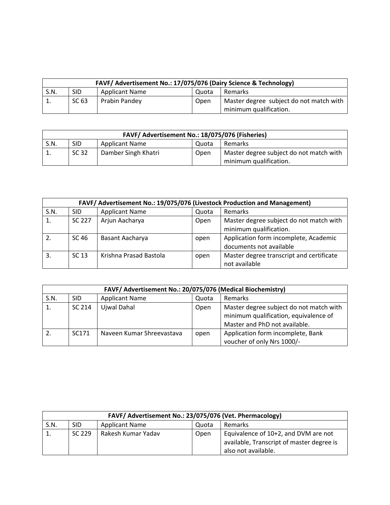| FAVF/ Advertisement No.: 17/075/076 (Dairy Science & Technology) |            |                       |       |                                         |
|------------------------------------------------------------------|------------|-----------------------|-------|-----------------------------------------|
| S.N.                                                             | <b>SID</b> | <b>Applicant Name</b> | Quota | Remarks                                 |
| $\overline{1}$ .                                                 | SC 63      | Prabin Pandey         | Open  | Master degree subject do not match with |
|                                                                  |            |                       |       | minimum qualification.                  |

| FAVF/ Advertisement No.: 18/075/076 (Fisheries) |       |                       |       |                                         |
|-------------------------------------------------|-------|-----------------------|-------|-----------------------------------------|
| S.N.                                            | SID   | <b>Applicant Name</b> | Quota | <b>Remarks</b>                          |
|                                                 | SC 32 | Damber Singh Khatri   | Open  | Master degree subject do not match with |
|                                                 |       |                       |       | minimum qualification.                  |

|      | FAVF/ Advertisement No.: 19/075/076 (Livestock Production and Management) |                        |       |                                                                   |  |  |
|------|---------------------------------------------------------------------------|------------------------|-------|-------------------------------------------------------------------|--|--|
| S.N. | SID                                                                       | <b>Applicant Name</b>  | Quota | Remarks                                                           |  |  |
|      | SC 227                                                                    | Arjun Aacharya         | Open  | Master degree subject do not match with<br>minimum qualification. |  |  |
|      | SC 46                                                                     | Basant Aacharya        | open  | Application form incomplete, Academic<br>documents not available  |  |  |
| 3.   | SC 13                                                                     | Krishna Prasad Bastola | open  | Master degree transcript and certificate<br>not available         |  |  |

|      | FAVF/ Advertisement No.: 20/075/076 (Medical Biochemistry) |                           |       |                                                                                                                   |  |  |
|------|------------------------------------------------------------|---------------------------|-------|-------------------------------------------------------------------------------------------------------------------|--|--|
| S.N. | <b>SID</b>                                                 | <b>Applicant Name</b>     | Quota | Remarks                                                                                                           |  |  |
|      | SC 214                                                     | Ujwal Dahal               | Open  | Master degree subject do not match with<br>minimum qualification, equivalence of<br>Master and PhD not available. |  |  |
|      | SC <sub>171</sub>                                          | Naveen Kumar Shreevastava | open  | Application form incomplete, Bank<br>voucher of only Nrs 1000/-                                                   |  |  |

| FAVF/ Advertisement No.: 23/075/076 (Vet. Phermacology) |            |                       |       |                                                                                                          |
|---------------------------------------------------------|------------|-----------------------|-------|----------------------------------------------------------------------------------------------------------|
| S.N.                                                    | <b>SID</b> | <b>Applicant Name</b> | Quota | <b>Remarks</b>                                                                                           |
| 1.                                                      | SC 229     | Rakesh Kumar Yadav    | Open  | Equivalence of 10+2, and DVM are not<br>available, Transcript of master degree is<br>also not available. |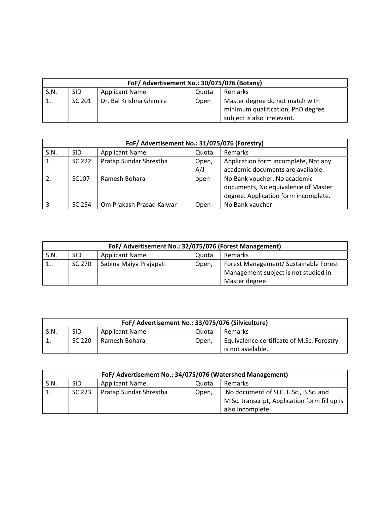| FoF/ Advertisement No.: 30/075/076 (Botany) |                                                                |                         |      |                                   |  |
|---------------------------------------------|----------------------------------------------------------------|-------------------------|------|-----------------------------------|--|
| S.N.                                        | <b>SID</b><br><b>Applicant Name</b><br><b>Remarks</b><br>Quota |                         |      |                                   |  |
| 1.                                          | SC 201                                                         | Dr. Bal Krishna Ghimire | Open | Master degree do not match with   |  |
|                                             |                                                                |                         |      | minimum qualification, PhD degree |  |
|                                             |                                                                |                         |      | subject is also irrelevant.       |  |

|      | FoF/ Advertisement No.: 31/075/076 (Forestry) |                          |              |                                                                                                             |  |  |
|------|-----------------------------------------------|--------------------------|--------------|-------------------------------------------------------------------------------------------------------------|--|--|
| S.N. | <b>SID</b>                                    | <b>Applicant Name</b>    | Quota        | <b>Remarks</b>                                                                                              |  |  |
|      | SC 222                                        | Pratap Sundar Shrestha   | Open,<br>A/J | Application form incomplete, Not any<br>academic documents are available.                                   |  |  |
| 2.   | SC <sub>107</sub>                             | Ramesh Bohara            | open         | No Bank voucher, No academic<br>documents, No equivalence of Master<br>degree. Application form incomplete. |  |  |
|      | SC 254                                        | Om Prakash Prasad Kalwar | Open         | No Bank vaucher                                                                                             |  |  |

| FoF/ Advertisement No.: 32/075/076 (Forest Management) |        |                        |       |                                       |
|--------------------------------------------------------|--------|------------------------|-------|---------------------------------------|
| S.N.                                                   | SID    | <b>Applicant Name</b>  | Quota | Remarks                               |
|                                                        | SC 270 | Sabina Maiya Prajapati | Open, | Forest Management/ Sustainable Forest |
|                                                        |        |                        |       | Management subject is not studied in  |
|                                                        |        |                        |       | Master degree                         |

| FoF/ Advertisement No.: 33/075/076 (Silviculture) |            |                       |       |                                                                |
|---------------------------------------------------|------------|-----------------------|-------|----------------------------------------------------------------|
| S.N.                                              | <b>SID</b> | <b>Applicant Name</b> | Quota | Remarks                                                        |
| -1.                                               | SC 220     | Ramesh Bohara         | Open, | Equivalence certificate of M.Sc. Forestry<br>is not available. |

| FoF/ Advertisement No.: 34/075/076 (Watershed Management) |            |                        |       |                                               |
|-----------------------------------------------------------|------------|------------------------|-------|-----------------------------------------------|
| S.N.                                                      | <b>SID</b> | <b>Applicant Name</b>  | Quota | <b>Remarks</b>                                |
| 1.                                                        | SC 223     | Pratap Sundar Shrestha | Open, | No document of SLC, I. Sc., B.Sc. and         |
|                                                           |            |                        |       | M.Sc. transcript, Application form fill up is |
|                                                           |            |                        |       | also incomplete.                              |